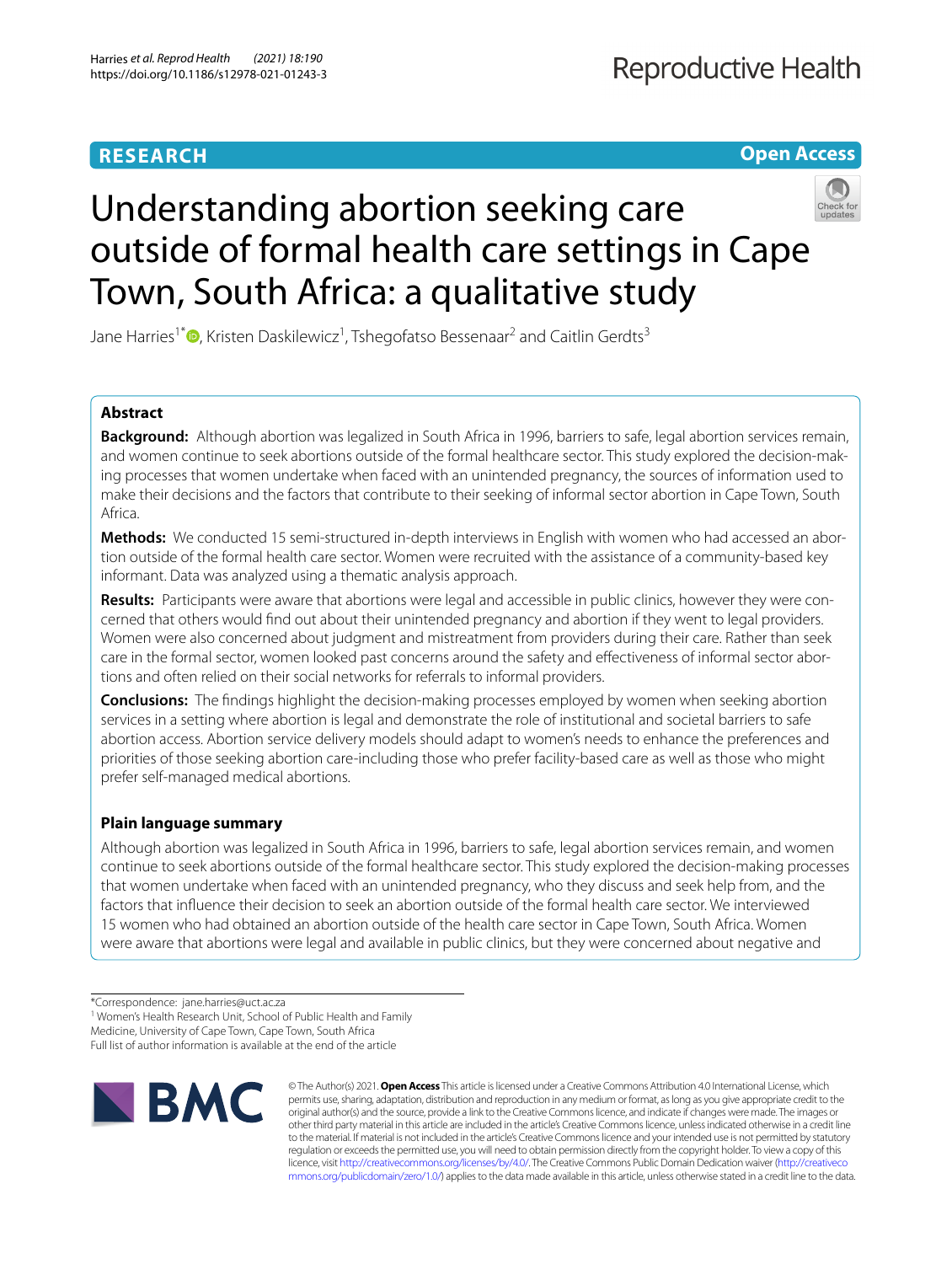# **RESEARCH**

**Open Access**

# Understanding abortion seeking care outside of formal health care settings in Cape Town, South Africa: a qualitative study



Jane Harries<sup>1\*</sup> <sup>O</sup>[,](http://orcid.org/0000-0001-7359-8419) Kristen Daskilewicz<sup>1</sup>, Tshegofatso Bessenaar<sup>2</sup> and Caitlin Gerdts<sup>3</sup>

# **Abstract**

**Background:** Although abortion was legalized in South Africa in 1996, barriers to safe, legal abortion services remain, and women continue to seek abortions outside of the formal healthcare sector. This study explored the decision-making processes that women undertake when faced with an unintended pregnancy, the sources of information used to make their decisions and the factors that contribute to their seeking of informal sector abortion in Cape Town, South Africa.

**Methods:** We conducted 15 semi-structured in-depth interviews in English with women who had accessed an abortion outside of the formal health care sector. Women were recruited with the assistance of a community-based key informant. Data was analyzed using a thematic analysis approach.

**Results:** Participants were aware that abortions were legal and accessible in public clinics, however they were concerned that others would fnd out about their unintended pregnancy and abortion if they went to legal providers. Women were also concerned about judgment and mistreatment from providers during their care. Rather than seek care in the formal sector, women looked past concerns around the safety and efectiveness of informal sector abortions and often relied on their social networks for referrals to informal providers.

**Conclusions:** The fndings highlight the decision-making processes employed by women when seeking abortion services in a setting where abortion is legal and demonstrate the role of institutional and societal barriers to safe abortion access. Abortion service delivery models should adapt to women's needs to enhance the preferences and priorities of those seeking abortion care-including those who prefer facility-based care as well as those who might prefer self-managed medical abortions.

# **Plain language summary**

Although abortion was legalized in South Africa in 1996, barriers to safe, legal abortion services remain, and women continue to seek abortions outside of the formal healthcare sector. This study explored the decision-making processes that women undertake when faced with an unintended pregnancy, who they discuss and seek help from, and the factors that infuence their decision to seek an abortion outside of the formal health care sector. We interviewed 15 women who had obtained an abortion outside of the health care sector in Cape Town, South Africa. Women were aware that abortions were legal and available in public clinics, but they were concerned about negative and

<sup>1</sup> Women's Health Research Unit, School of Public Health and Family

Full list of author information is available at the end of the article



© The Author(s) 2021. **Open Access** This article is licensed under a Creative Commons Attribution 4.0 International License, which permits use, sharing, adaptation, distribution and reproduction in any medium or format, as long as you give appropriate credit to the original author(s) and the source, provide a link to the Creative Commons licence, and indicate if changes were made. The images or other third party material in this article are included in the article's Creative Commons licence, unless indicated otherwise in a credit line to the material. If material is not included in the article's Creative Commons licence and your intended use is not permitted by statutory regulation or exceeds the permitted use, you will need to obtain permission directly from the copyright holder. To view a copy of this licence, visit [http://creativecommons.org/licenses/by/4.0/.](http://creativecommons.org/licenses/by/4.0/) The Creative Commons Public Domain Dedication waiver ([http://creativeco](http://creativecommons.org/publicdomain/zero/1.0/) [mmons.org/publicdomain/zero/1.0/](http://creativecommons.org/publicdomain/zero/1.0/)) applies to the data made available in this article, unless otherwise stated in a credit line to the data.

<sup>\*</sup>Correspondence: jane.harries@uct.ac.za

Medicine, University of Cape Town, Cape Town, South Africa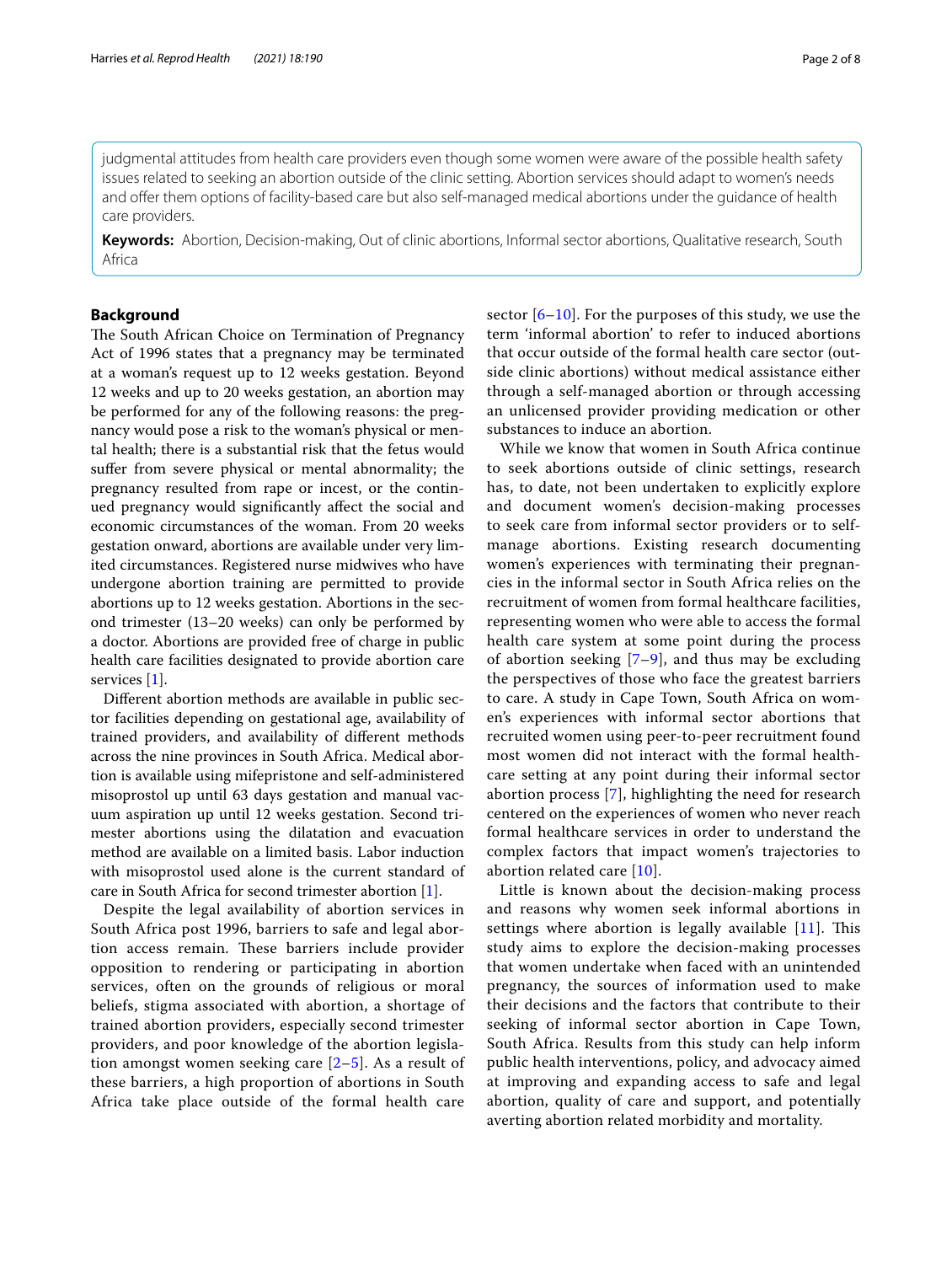judgmental attitudes from health care providers even though some women were aware of the possible health safety issues related to seeking an abortion outside of the clinic setting. Abortion services should adapt to women's needs and ofer them options of facility-based care but also self-managed medical abortions under the guidance of health care providers.

**Keywords:** Abortion, Decision-making, Out of clinic abortions, Informal sector abortions, Qualitative research, South Africa

# **Background**

The South African Choice on Termination of Pregnancy Act of 1996 states that a pregnancy may be terminated at a woman's request up to 12 weeks gestation. Beyond 12 weeks and up to 20 weeks gestation, an abortion may be performed for any of the following reasons: the pregnancy would pose a risk to the woman's physical or mental health; there is a substantial risk that the fetus would sufer from severe physical or mental abnormality; the pregnancy resulted from rape or incest, or the continued pregnancy would signifcantly afect the social and economic circumstances of the woman. From 20 weeks gestation onward, abortions are available under very limited circumstances. Registered nurse midwives who have undergone abortion training are permitted to provide abortions up to 12 weeks gestation. Abortions in the second trimester (13–20 weeks) can only be performed by a doctor. Abortions are provided free of charge in public health care facilities designated to provide abortion care services [[1](#page-7-0)].

Diferent abortion methods are available in public sector facilities depending on gestational age, availability of trained providers, and availability of diferent methods across the nine provinces in South Africa. Medical abortion is available using mifepristone and self-administered misoprostol up until 63 days gestation and manual vacuum aspiration up until 12 weeks gestation. Second trimester abortions using the dilatation and evacuation method are available on a limited basis. Labor induction with misoprostol used alone is the current standard of care in South Africa for second trimester abortion [\[1](#page-7-0)].

Despite the legal availability of abortion services in South Africa post 1996, barriers to safe and legal abortion access remain. These barriers include provider opposition to rendering or participating in abortion services, often on the grounds of religious or moral beliefs, stigma associated with abortion, a shortage of trained abortion providers, especially second trimester providers, and poor knowledge of the abortion legislation amongst women seeking care [[2–](#page-7-1)[5\]](#page-7-2). As a result of these barriers, a high proportion of abortions in South Africa take place outside of the formal health care sector  $[6–10]$  $[6–10]$ . For the purposes of this study, we use the term 'informal abortion' to refer to induced abortions that occur outside of the formal health care sector (outside clinic abortions) without medical assistance either through a self-managed abortion or through accessing an unlicensed provider providing medication or other substances to induce an abortion.

While we know that women in South Africa continue to seek abortions outside of clinic settings, research has, to date, not been undertaken to explicitly explore and document women's decision-making processes to seek care from informal sector providers or to selfmanage abortions. Existing research documenting women's experiences with terminating their pregnancies in the informal sector in South Africa relies on the recruitment of women from formal healthcare facilities, representing women who were able to access the formal health care system at some point during the process of abortion seeking  $[7-9]$  $[7-9]$ , and thus may be excluding the perspectives of those who face the greatest barriers to care. A study in Cape Town, South Africa on women's experiences with informal sector abortions that recruited women using peer-to-peer recruitment found most women did not interact with the formal healthcare setting at any point during their informal sector abortion process [\[7\]](#page-7-5), highlighting the need for research centered on the experiences of women who never reach formal healthcare services in order to understand the complex factors that impact women's trajectories to abortion related care [\[10\]](#page-7-4).

Little is known about the decision-making process and reasons why women seek informal abortions in settings where abortion is legally available  $[11]$ . This study aims to explore the decision-making processes that women undertake when faced with an unintended pregnancy, the sources of information used to make their decisions and the factors that contribute to their seeking of informal sector abortion in Cape Town, South Africa. Results from this study can help inform public health interventions, policy, and advocacy aimed at improving and expanding access to safe and legal abortion, quality of care and support, and potentially averting abortion related morbidity and mortality.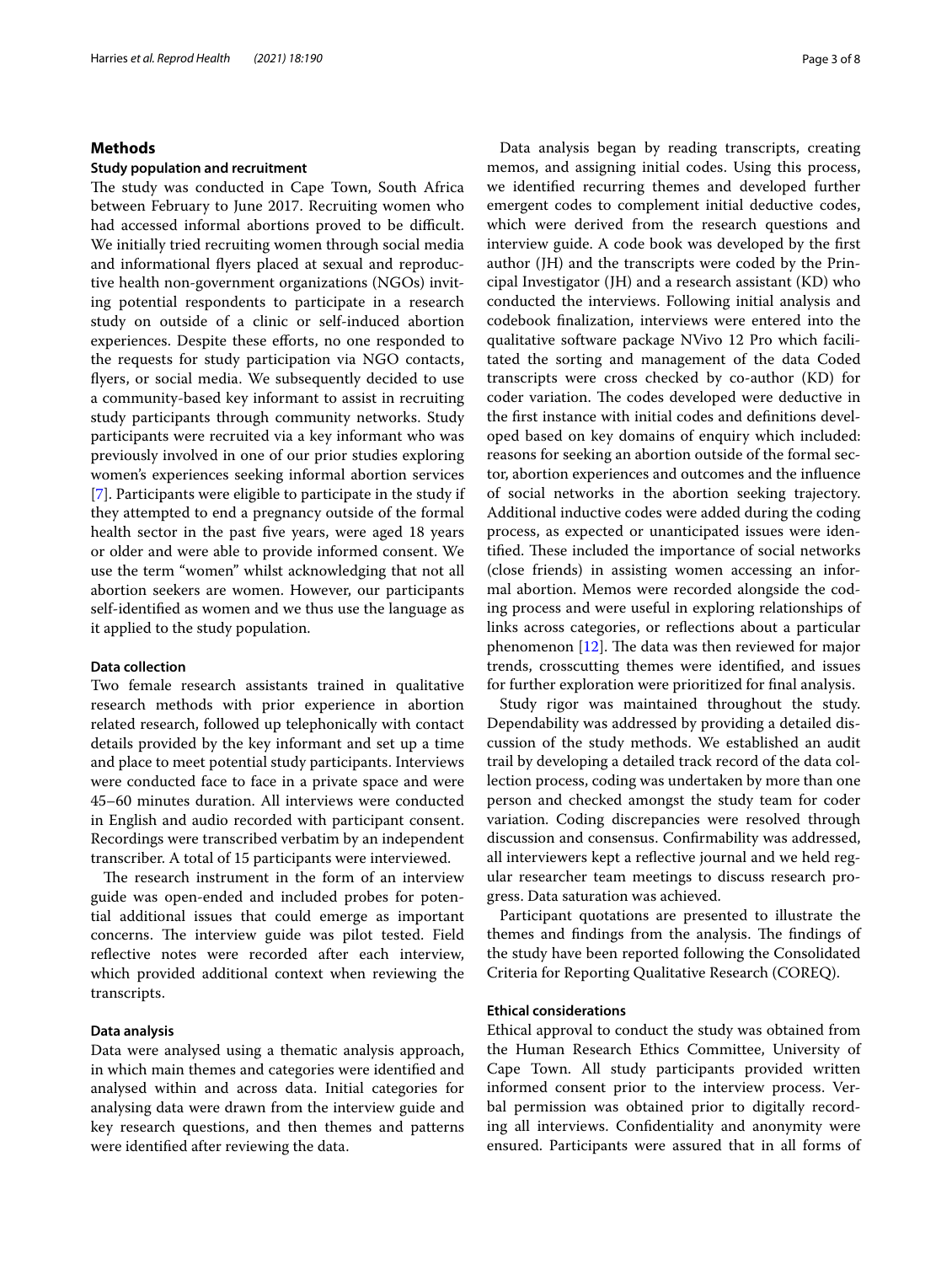# **Methods**

#### **Study population and recruitment**

The study was conducted in Cape Town, South Africa between February to June 2017. Recruiting women who had accessed informal abortions proved to be difficult. We initially tried recruiting women through social media and informational fyers placed at sexual and reproductive health non-government organizations (NGOs) inviting potential respondents to participate in a research study on outside of a clinic or self-induced abortion experiences. Despite these efforts, no one responded to the requests for study participation via NGO contacts, fyers, or social media. We subsequently decided to use a community-based key informant to assist in recruiting study participants through community networks. Study participants were recruited via a key informant who was previously involved in one of our prior studies exploring women's experiences seeking informal abortion services [[7\]](#page-7-5). Participants were eligible to participate in the study if they attempted to end a pregnancy outside of the formal health sector in the past fve years, were aged 18 years or older and were able to provide informed consent. We use the term "women" whilst acknowledging that not all abortion seekers are women. However, our participants self-identifed as women and we thus use the language as it applied to the study population.

#### **Data collection**

Two female research assistants trained in qualitative research methods with prior experience in abortion related research, followed up telephonically with contact details provided by the key informant and set up a time and place to meet potential study participants. Interviews were conducted face to face in a private space and were 45–60 minutes duration. All interviews were conducted in English and audio recorded with participant consent. Recordings were transcribed verbatim by an independent transcriber. A total of 15 participants were interviewed.

The research instrument in the form of an interview guide was open-ended and included probes for potential additional issues that could emerge as important concerns. The interview guide was pilot tested. Field reflective notes were recorded after each interview, which provided additional context when reviewing the transcripts.

#### **Data analysis**

Data were analysed using a thematic analysis approach, in which main themes and categories were identifed and analysed within and across data. Initial categories for analysing data were drawn from the interview guide and key research questions, and then themes and patterns were identifed after reviewing the data.

Data analysis began by reading transcripts, creating memos, and assigning initial codes. Using this process, we identifed recurring themes and developed further emergent codes to complement initial deductive codes, which were derived from the research questions and interview guide. A code book was developed by the frst author (JH) and the transcripts were coded by the Principal Investigator (JH) and a research assistant (KD) who conducted the interviews. Following initial analysis and codebook fnalization, interviews were entered into the qualitative software package NVivo 12 Pro which facilitated the sorting and management of the data Coded transcripts were cross checked by co-author (KD) for coder variation. The codes developed were deductive in the frst instance with initial codes and defnitions developed based on key domains of enquiry which included: reasons for seeking an abortion outside of the formal sector, abortion experiences and outcomes and the infuence of social networks in the abortion seeking trajectory. Additional inductive codes were added during the coding process, as expected or unanticipated issues were identified. These included the importance of social networks (close friends) in assisting women accessing an informal abortion. Memos were recorded alongside the coding process and were useful in exploring relationships of links across categories, or refections about a particular phenomenon  $[12]$ . The data was then reviewed for major trends, crosscutting themes were identifed, and issues for further exploration were prioritized for fnal analysis.

Study rigor was maintained throughout the study. Dependability was addressed by providing a detailed discussion of the study methods. We established an audit trail by developing a detailed track record of the data collection process, coding was undertaken by more than one person and checked amongst the study team for coder variation. Coding discrepancies were resolved through discussion and consensus. Confrmability was addressed, all interviewers kept a refective journal and we held regular researcher team meetings to discuss research progress. Data saturation was achieved.

Participant quotations are presented to illustrate the themes and findings from the analysis. The findings of the study have been reported following the Consolidated Criteria for Reporting Qualitative Research (COREQ).

# **Ethical considerations**

Ethical approval to conduct the study was obtained from the Human Research Ethics Committee, University of Cape Town. All study participants provided written informed consent prior to the interview process. Verbal permission was obtained prior to digitally recording all interviews. Confdentiality and anonymity were ensured. Participants were assured that in all forms of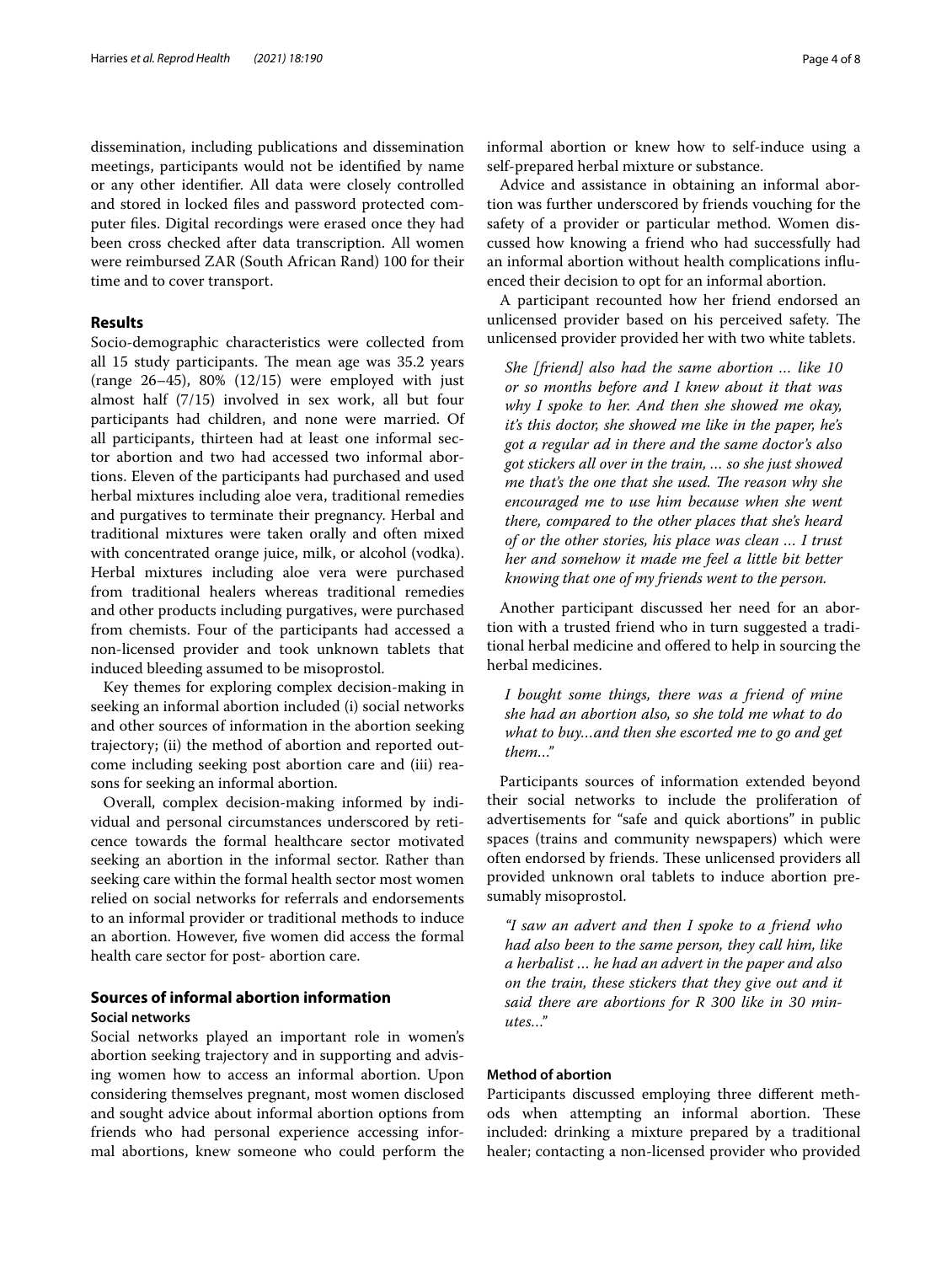dissemination, including publications and dissemination meetings, participants would not be identifed by name or any other identifer. All data were closely controlled and stored in locked fles and password protected computer fles. Digital recordings were erased once they had been cross checked after data transcription. All women were reimbursed ZAR (South African Rand) 100 for their time and to cover transport.

## **Results**

Socio-demographic characteristics were collected from all 15 study participants. The mean age was 35.2 years (range 26–45), 80% (12/15) were employed with just almost half (7/15) involved in sex work, all but four participants had children, and none were married. Of all participants, thirteen had at least one informal sector abortion and two had accessed two informal abortions. Eleven of the participants had purchased and used herbal mixtures including aloe vera, traditional remedies and purgatives to terminate their pregnancy. Herbal and traditional mixtures were taken orally and often mixed with concentrated orange juice, milk, or alcohol (vodka). Herbal mixtures including aloe vera were purchased from traditional healers whereas traditional remedies and other products including purgatives, were purchased from chemists. Four of the participants had accessed a non-licensed provider and took unknown tablets that induced bleeding assumed to be misoprostol.

Key themes for exploring complex decision-making in seeking an informal abortion included (i) social networks and other sources of information in the abortion seeking trajectory; (ii) the method of abortion and reported outcome including seeking post abortion care and (iii) reasons for seeking an informal abortion.

Overall, complex decision-making informed by individual and personal circumstances underscored by reticence towards the formal healthcare sector motivated seeking an abortion in the informal sector. Rather than seeking care within the formal health sector most women relied on social networks for referrals and endorsements to an informal provider or traditional methods to induce an abortion. However, fve women did access the formal health care sector for post- abortion care.

#### **Sources of informal abortion information Social networks**

Social networks played an important role in women's abortion seeking trajectory and in supporting and advising women how to access an informal abortion. Upon considering themselves pregnant, most women disclosed and sought advice about informal abortion options from friends who had personal experience accessing informal abortions, knew someone who could perform the informal abortion or knew how to self-induce using a self-prepared herbal mixture or substance.

Advice and assistance in obtaining an informal abortion was further underscored by friends vouching for the safety of a provider or particular method. Women discussed how knowing a friend who had successfully had an informal abortion without health complications infuenced their decision to opt for an informal abortion.

A participant recounted how her friend endorsed an unlicensed provider based on his perceived safety. The unlicensed provider provided her with two white tablets.

*She [friend] also had the same abortion … like 10 or so months before and I knew about it that was why I spoke to her. And then she showed me okay, it's this doctor, she showed me like in the paper, he's got a regular ad in there and the same doctor's also got stickers all over in the train, … so she just showed me that's the one that she used. The reason why she encouraged me to use him because when she went there, compared to the other places that she's heard of or the other stories, his place was clean … I trust her and somehow it made me feel a little bit better knowing that one of my friends went to the person.*

Another participant discussed her need for an abortion with a trusted friend who in turn suggested a traditional herbal medicine and ofered to help in sourcing the herbal medicines.

*I bought some things, there was a friend of mine she had an abortion also, so she told me what to do what to buy…and then she escorted me to go and get them…"*

Participants sources of information extended beyond their social networks to include the proliferation of advertisements for "safe and quick abortions" in public spaces (trains and community newspapers) which were often endorsed by friends. These unlicensed providers all provided unknown oral tablets to induce abortion presumably misoprostol.

*"I saw an advert and then I spoke to a friend who had also been to the same person, they call him, like a herbalist … he had an advert in the paper and also on the train, these stickers that they give out and it said there are abortions for R 300 like in 30 minutes…"*

## **Method of abortion**

Participants discussed employing three diferent methods when attempting an informal abortion. These included: drinking a mixture prepared by a traditional healer; contacting a non-licensed provider who provided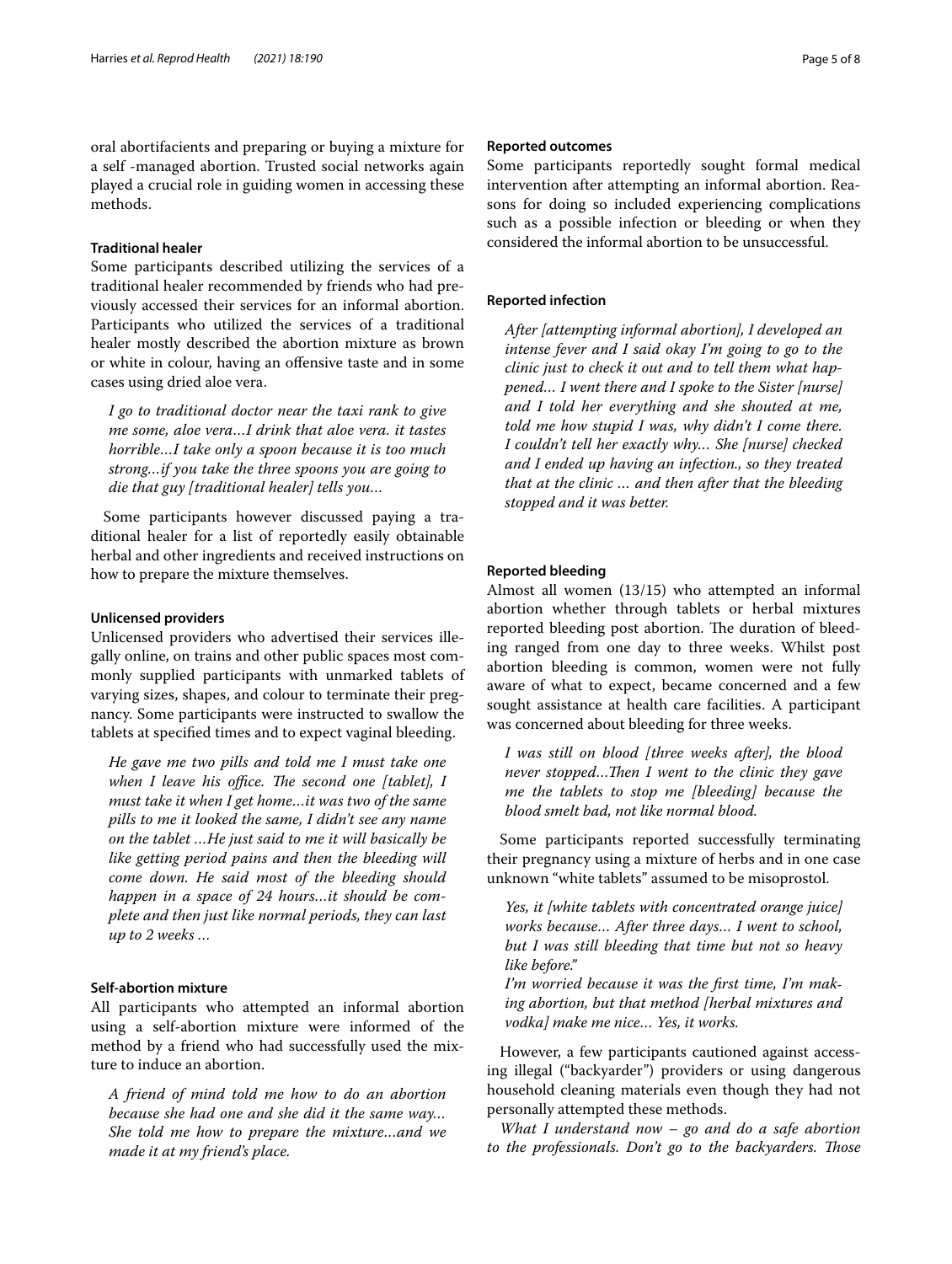oral abortifacients and preparing or buying a mixture for a self -managed abortion. Trusted social networks again played a crucial role in guiding women in accessing these methods.

#### **Traditional healer**

Some participants described utilizing the services of a traditional healer recommended by friends who had previously accessed their services for an informal abortion. Participants who utilized the services of a traditional healer mostly described the abortion mixture as brown or white in colour, having an ofensive taste and in some cases using dried aloe vera.

*I go to traditional doctor near the taxi rank to give me some, aloe vera…I drink that aloe vera. it tastes horrible…I take only a spoon because it is too much strong…if you take the three spoons you are going to die that guy [traditional healer] tells you…*

Some participants however discussed paying a traditional healer for a list of reportedly easily obtainable herbal and other ingredients and received instructions on how to prepare the mixture themselves.

# **Unlicensed providers**

Unlicensed providers who advertised their services illegally online, on trains and other public spaces most commonly supplied participants with unmarked tablets of varying sizes, shapes, and colour to terminate their pregnancy. Some participants were instructed to swallow the tablets at specifed times and to expect vaginal bleeding.

*He gave me two pills and told me I must take one when I leave his office. The second one [tablet], I must take it when I get home…it was two of the same pills to me it looked the same, I didn't see any name on the tablet …He just said to me it will basically be like getting period pains and then the bleeding will come down. He said most of the bleeding should happen in a space of 24 hours…it should be complete and then just like normal periods, they can last up to 2 weeks …*

# **Self‑abortion mixture**

All participants who attempted an informal abortion using a self-abortion mixture were informed of the method by a friend who had successfully used the mixture to induce an abortion.

*A friend of mind told me how to do an abortion because she had one and she did it the same way… She told me how to prepare the mixture…and we made it at my friend's place.*

#### **Reported outcomes**

Some participants reportedly sought formal medical intervention after attempting an informal abortion. Reasons for doing so included experiencing complications such as a possible infection or bleeding or when they considered the informal abortion to be unsuccessful.

#### **Reported infection**

*After [attempting informal abortion], I developed an intense fever and I said okay I'm going to go to the clinic just to check it out and to tell them what happened… I went there and I spoke to the Sister [nurse] and I told her everything and she shouted at me, told me how stupid I was, why didn't I come there. I couldn't tell her exactly why… She [nurse] checked and I ended up having an infection., so they treated that at the clinic … and then after that the bleeding stopped and it was better.*

#### **Reported bleeding**

Almost all women (13/15) who attempted an informal abortion whether through tablets or herbal mixtures reported bleeding post abortion. The duration of bleeding ranged from one day to three weeks. Whilst post abortion bleeding is common, women were not fully aware of what to expect, became concerned and a few sought assistance at health care facilities. A participant was concerned about bleeding for three weeks.

*I was still on blood [three weeks after], the blood never stopped...Then I went to the clinic they gave me the tablets to stop me [bleeding] because the blood smelt bad, not like normal blood.*

Some participants reported successfully terminating their pregnancy using a mixture of herbs and in one case unknown "white tablets" assumed to be misoprostol.

*Yes, it [white tablets with concentrated orange juice] works because… After three days… I went to school, but I was still bleeding that time but not so heavy like before."*

*I'm worried because it was the frst time, I'm making abortion, but that method [herbal mixtures and vodka] make me nice… Yes, it works.*

However, a few participants cautioned against accessing illegal ("backyarder") providers or using dangerous household cleaning materials even though they had not personally attempted these methods.

*What I understand now – go and do a safe abortion to the professionals. Don't go to the backyarders. Those*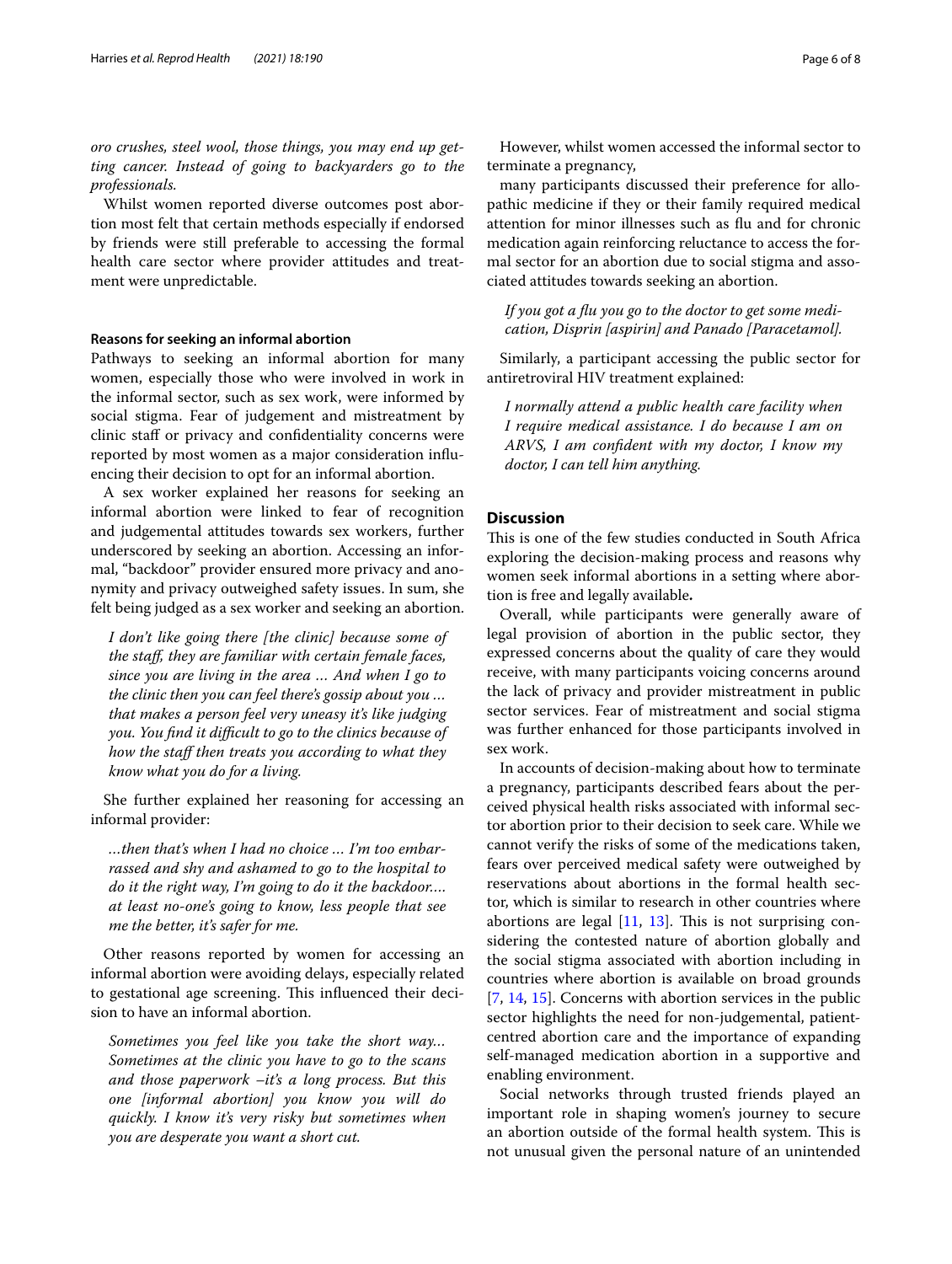*oro crushes, steel wool, those things, you may end up getting cancer. Instead of going to backyarders go to the professionals.*

Whilst women reported diverse outcomes post abortion most felt that certain methods especially if endorsed by friends were still preferable to accessing the formal health care sector where provider attitudes and treatment were unpredictable.

#### **Reasons for seeking an informal abortion**

Pathways to seeking an informal abortion for many women, especially those who were involved in work in the informal sector, such as sex work, were informed by social stigma. Fear of judgement and mistreatment by clinic staff or privacy and confidentiality concerns were reported by most women as a major consideration infuencing their decision to opt for an informal abortion.

A sex worker explained her reasons for seeking an informal abortion were linked to fear of recognition and judgemental attitudes towards sex workers, further underscored by seeking an abortion. Accessing an informal, "backdoor" provider ensured more privacy and anonymity and privacy outweighed safety issues. In sum, she felt being judged as a sex worker and seeking an abortion.

*I don't like going there [the clinic] because some of the staf, they are familiar with certain female faces, since you are living in the area … And when I go to the clinic then you can feel there's gossip about you … that makes a person feel very uneasy it's like judging you. You fnd it difcult to go to the clinics because of how the staff then treats you according to what they know what you do for a living.*

She further explained her reasoning for accessing an informal provider:

*…then that's when I had no choice … I'm too embarrassed and shy and ashamed to go to the hospital to do it the right way, I'm going to do it the backdoor…. at least no-one's going to know, less people that see me the better, it's safer for me.*

Other reasons reported by women for accessing an informal abortion were avoiding delays, especially related to gestational age screening. This influenced their decision to have an informal abortion.

*Sometimes you feel like you take the short way… Sometimes at the clinic you have to go to the scans and those paperwork –it's a long process. But this one [informal abortion] you know you will do quickly. I know it's very risky but sometimes when you are desperate you want a short cut.*

However, whilst women accessed the informal sector to terminate a pregnancy,

many participants discussed their preference for allopathic medicine if they or their family required medical attention for minor illnesses such as fu and for chronic medication again reinforcing reluctance to access the formal sector for an abortion due to social stigma and associated attitudes towards seeking an abortion.

*If you got a fu you go to the doctor to get some medication, Disprin [aspirin] and Panado [Paracetamol].*

Similarly, a participant accessing the public sector for antiretroviral HIV treatment explained:

*I normally attend a public health care facility when I require medical assistance. I do because I am on ARVS, I am confdent with my doctor, I know my doctor, I can tell him anything.*

## **Discussion**

This is one of the few studies conducted in South Africa exploring the decision-making process and reasons why women seek informal abortions in a setting where abortion is free and legally available**.**

Overall, while participants were generally aware of legal provision of abortion in the public sector, they expressed concerns about the quality of care they would receive, with many participants voicing concerns around the lack of privacy and provider mistreatment in public sector services. Fear of mistreatment and social stigma was further enhanced for those participants involved in sex work.

In accounts of decision-making about how to terminate a pregnancy, participants described fears about the perceived physical health risks associated with informal sector abortion prior to their decision to seek care. While we cannot verify the risks of some of the medications taken, fears over perceived medical safety were outweighed by reservations about abortions in the formal health sector, which is similar to research in other countries where abortions are legal  $[11, 13]$  $[11, 13]$  $[11, 13]$ . This is not surprising considering the contested nature of abortion globally and the social stigma associated with abortion including in countries where abortion is available on broad grounds [[7,](#page-7-5) [14,](#page-7-10) [15](#page-7-11)]. Concerns with abortion services in the public sector highlights the need for non-judgemental, patientcentred abortion care and the importance of expanding self-managed medication abortion in a supportive and enabling environment.

Social networks through trusted friends played an important role in shaping women's journey to secure an abortion outside of the formal health system. This is not unusual given the personal nature of an unintended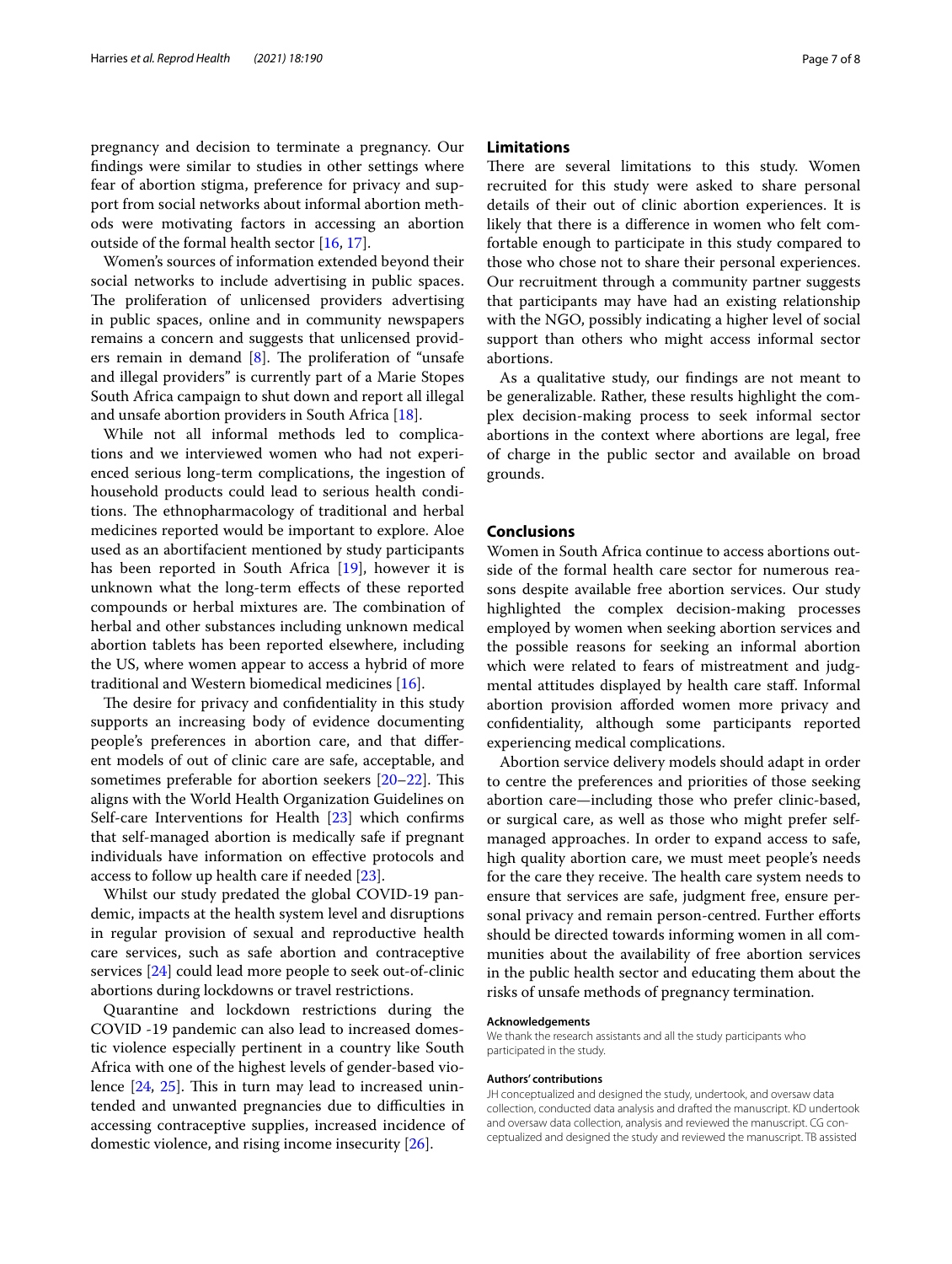pregnancy and decision to terminate a pregnancy. Our fndings were similar to studies in other settings where fear of abortion stigma, preference for privacy and support from social networks about informal abortion methods were motivating factors in accessing an abortion outside of the formal health sector [[16](#page-7-12), [17\]](#page-7-13).

Women's sources of information extended beyond their social networks to include advertising in public spaces. The proliferation of unlicensed providers advertising in public spaces, online and in community newspapers remains a concern and suggests that unlicensed providers remain in demand  $[8]$  $[8]$ . The proliferation of "unsafe" and illegal providers" is currently part of a Marie Stopes South Africa campaign to shut down and report all illegal and unsafe abortion providers in South Africa [\[18\]](#page-7-15).

While not all informal methods led to complications and we interviewed women who had not experienced serious long-term complications, the ingestion of household products could lead to serious health conditions. The ethnopharmacology of traditional and herbal medicines reported would be important to explore. Aloe used as an abortifacient mentioned by study participants has been reported in South Africa [\[19](#page-7-16)], however it is unknown what the long-term efects of these reported compounds or herbal mixtures are. The combination of herbal and other substances including unknown medical abortion tablets has been reported elsewhere, including the US, where women appear to access a hybrid of more traditional and Western biomedical medicines [[16\]](#page-7-12).

The desire for privacy and confidentiality in this study supports an increasing body of evidence documenting people's preferences in abortion care, and that diferent models of out of clinic care are safe, acceptable, and sometimes preferable for abortion seekers  $[20-22]$  $[20-22]$  $[20-22]$ . This aligns with the World Health Organization Guidelines on Self-care Interventions for Health [[23\]](#page-7-19) which confrms that self-managed abortion is medically safe if pregnant individuals have information on efective protocols and access to follow up health care if needed [[23\]](#page-7-19).

Whilst our study predated the global COVID-19 pandemic, impacts at the health system level and disruptions in regular provision of sexual and reproductive health care services, such as safe abortion and contraceptive services [[24\]](#page-7-20) could lead more people to seek out-of-clinic abortions during lockdowns or travel restrictions.

Quarantine and lockdown restrictions during the COVID -19 pandemic can also lead to increased domestic violence especially pertinent in a country like South Africa with one of the highest levels of gender-based violence  $[24, 25]$  $[24, 25]$  $[24, 25]$  $[24, 25]$  $[24, 25]$ . This in turn may lead to increased unintended and unwanted pregnancies due to difficulties in accessing contraceptive supplies, increased incidence of domestic violence, and rising income insecurity [\[26\]](#page-7-22).

## **Limitations**

There are several limitations to this study. Women recruited for this study were asked to share personal details of their out of clinic abortion experiences. It is likely that there is a diference in women who felt comfortable enough to participate in this study compared to those who chose not to share their personal experiences. Our recruitment through a community partner suggests that participants may have had an existing relationship with the NGO, possibly indicating a higher level of social support than others who might access informal sector abortions.

As a qualitative study, our fndings are not meant to be generalizable. Rather, these results highlight the complex decision-making process to seek informal sector abortions in the context where abortions are legal, free of charge in the public sector and available on broad grounds.

# **Conclusions**

Women in South Africa continue to access abortions outside of the formal health care sector for numerous reasons despite available free abortion services. Our study highlighted the complex decision-making processes employed by women when seeking abortion services and the possible reasons for seeking an informal abortion which were related to fears of mistreatment and judgmental attitudes displayed by health care staf. Informal abortion provision aforded women more privacy and confdentiality, although some participants reported experiencing medical complications.

Abortion service delivery models should adapt in order to centre the preferences and priorities of those seeking abortion care—including those who prefer clinic-based, or surgical care, as well as those who might prefer selfmanaged approaches. In order to expand access to safe, high quality abortion care, we must meet people's needs for the care they receive. The health care system needs to ensure that services are safe, judgment free, ensure personal privacy and remain person-centred. Further efforts should be directed towards informing women in all communities about the availability of free abortion services in the public health sector and educating them about the risks of unsafe methods of pregnancy termination.

#### **Acknowledgements**

We thank the research assistants and all the study participants who participated in the study.

#### **Authors' contributions**

JH conceptualized and designed the study, undertook, and oversaw data collection, conducted data analysis and drafted the manuscript. KD undertook and oversaw data collection, analysis and reviewed the manuscript. CG conceptualized and designed the study and reviewed the manuscript. TB assisted